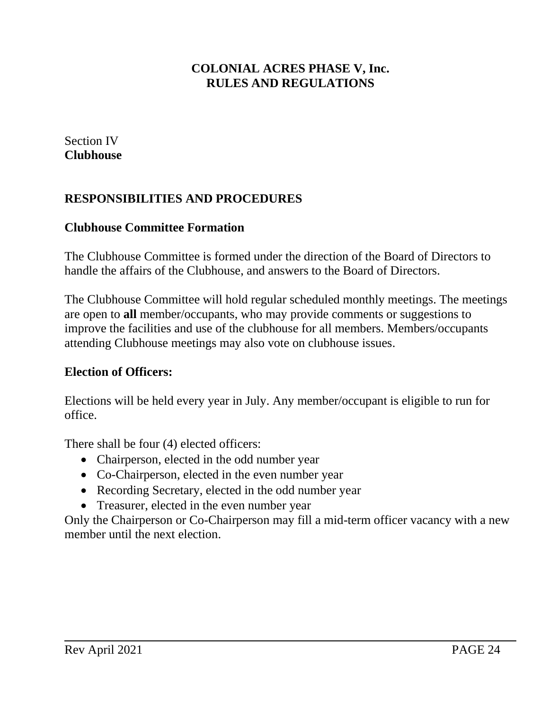Section IV **Clubhouse**

# **RESPONSIBILITIES AND PROCEDURES**

#### **Clubhouse Committee Formation**

The Clubhouse Committee is formed under the direction of the Board of Directors to handle the affairs of the Clubhouse, and answers to the Board of Directors.

The Clubhouse Committee will hold regular scheduled monthly meetings. The meetings are open to **all** member/occupants, who may provide comments or suggestions to improve the facilities and use of the clubhouse for all members. Members/occupants attending Clubhouse meetings may also vote on clubhouse issues.

#### **Election of Officers:**

Elections will be held every year in July. Any member/occupant is eligible to run for office.

There shall be four (4) elected officers:

- Chairperson, elected in the odd number year
- Co-Chairperson, elected in the even number year
- Recording Secretary, elected in the odd number year
- Treasurer, elected in the even number year

Only the Chairperson or Co-Chairperson may fill a mid-term officer vacancy with a new member until the next election.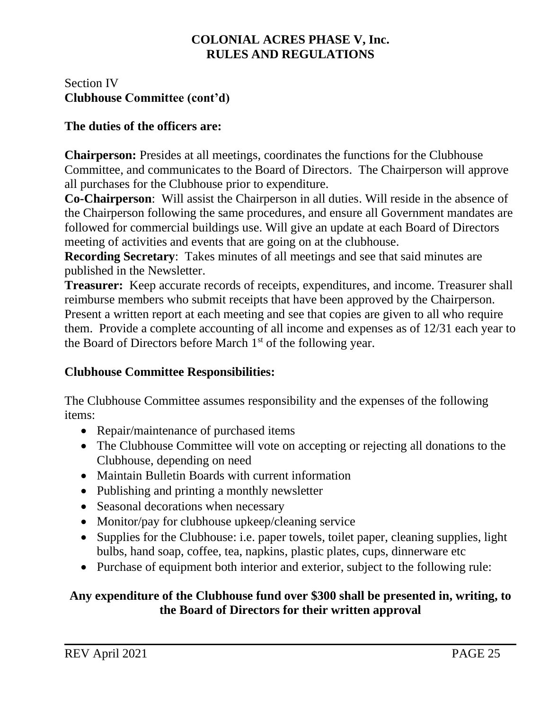## Section IV **Clubhouse Committee (cont'd)**

### **The duties of the officers are:**

**Chairperson:** Presides at all meetings, coordinates the functions for the Clubhouse Committee, and communicates to the Board of Directors. The Chairperson will approve all purchases for the Clubhouse prior to expenditure.

**Co-Chairperson**: Will assist the Chairperson in all duties. Will reside in the absence of the Chairperson following the same procedures, and ensure all Government mandates are followed for commercial buildings use. Will give an update at each Board of Directors meeting of activities and events that are going on at the clubhouse.

**Recording Secretary**: Takes minutes of all meetings and see that said minutes are published in the Newsletter.

**Treasurer:** Keep accurate records of receipts, expenditures, and income. Treasurer shall reimburse members who submit receipts that have been approved by the Chairperson. Present a written report at each meeting and see that copies are given to all who require them. Provide a complete accounting of all income and expenses as of 12/31 each year to the Board of Directors before March 1<sup>st</sup> of the following year.

## **Clubhouse Committee Responsibilities:**

The Clubhouse Committee assumes responsibility and the expenses of the following items:

- Repair/maintenance of purchased items
- The Clubhouse Committee will vote on accepting or rejecting all donations to the Clubhouse, depending on need
- Maintain Bulletin Boards with current information
- Publishing and printing a monthly newsletter
- Seasonal decorations when necessary
- Monitor/pay for clubhouse upkeep/cleaning service
- Supplies for the Clubhouse: i.e. paper towels, toilet paper, cleaning supplies, light bulbs, hand soap, coffee, tea, napkins, plastic plates, cups, dinnerware etc
- Purchase of equipment both interior and exterior, subject to the following rule:

### **Any expenditure of the Clubhouse fund over \$300 shall be presented in, writing, to the Board of Directors for their written approval**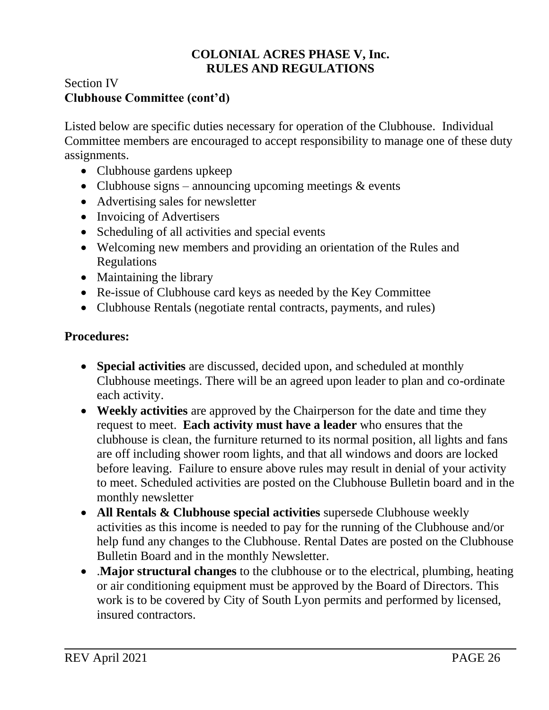## Section IV **Clubhouse Committee (cont'd)**

Listed below are specific duties necessary for operation of the Clubhouse. Individual Committee members are encouraged to accept responsibility to manage one of these duty assignments.

- Clubhouse gardens upkeep
- Clubhouse signs announcing upcoming meetings  $&$  events
- Advertising sales for newsletter
- Invoicing of Advertisers
- Scheduling of all activities and special events
- Welcoming new members and providing an orientation of the Rules and Regulations
- Maintaining the library
- Re-issue of Clubhouse card keys as needed by the Key Committee
- Clubhouse Rentals (negotiate rental contracts, payments, and rules)

## **Procedures:**

- **Special activities** are discussed, decided upon, and scheduled at monthly Clubhouse meetings. There will be an agreed upon leader to plan and co-ordinate each activity.
- **Weekly activities** are approved by the Chairperson for the date and time they request to meet. **Each activity must have a leader** who ensures that the clubhouse is clean, the furniture returned to its normal position, all lights and fans are off including shower room lights, and that all windows and doors are locked before leaving. Failure to ensure above rules may result in denial of your activity to meet. Scheduled activities are posted on the Clubhouse Bulletin board and in the monthly newsletter
- **All Rentals & Clubhouse special activities** supersede Clubhouse weekly activities as this income is needed to pay for the running of the Clubhouse and/or help fund any changes to the Clubhouse. Rental Dates are posted on the Clubhouse Bulletin Board and in the monthly Newsletter.
- .**Major structural changes** to the clubhouse or to the electrical, plumbing, heating or air conditioning equipment must be approved by the Board of Directors. This work is to be covered by City of South Lyon permits and performed by licensed, insured contractors.